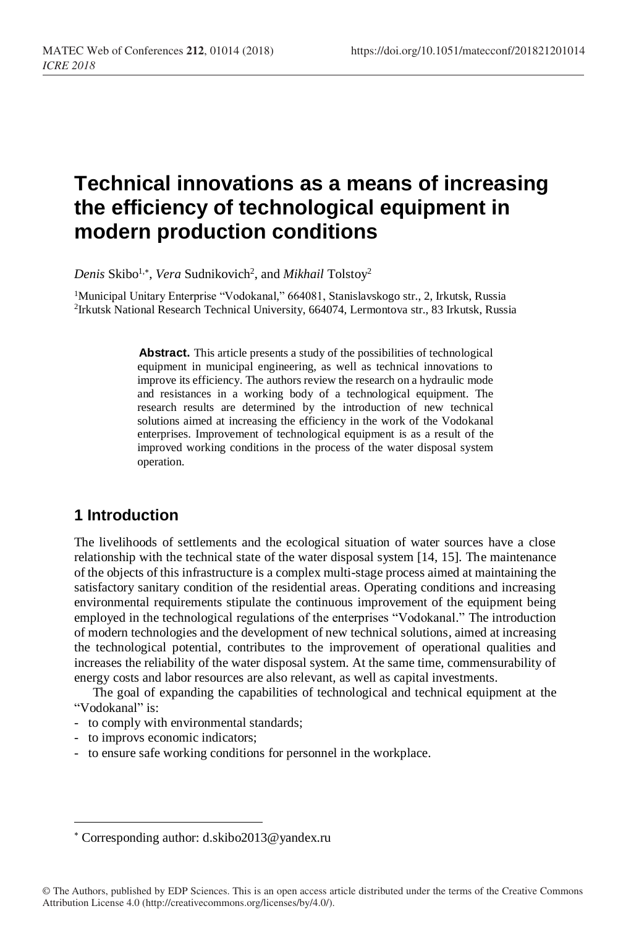# **Technical innovations as a means of increasing the efficiency of technological equipment in modern production conditions**

Denis Skibo<sup>1,\*</sup>, *Vera* Sudnikovich<sup>2</sup>, and *Mikhail* Tolstoy<sup>2</sup>

<sup>1</sup>Municipal Unitary Enterprise "Vodokanal," 664081, Stanislavskogo str., 2, Irkutsk, Russia 2 Irkutsk National Research Technical University, 664074, Lermontova str., 83 Irkutsk, Russia

> Abstract. This article presents a study of the possibilities of technological equipment in municipal engineering, as well as technical innovations to improve its efficiency. The authors review the research on a hydraulic mode and resistances in a working body of a technological equipment. The research results are determined by the introduction of new technical solutions aimed at increasing the efficiency in the work of the Vodokanal enterprises. Improvement of technological equipment is as a result of the improved working conditions in the process of the water disposal system operation.

# **1 Introduction**

The livelihoods of settlements and the ecological situation of water sources have a close relationship with the technical state of the water disposal system [14, 15]. The maintenance of the objects of this infrastructure is a complex multi-stage process aimed at maintaining the satisfactory sanitary condition of the residential areas. Operating conditions and increasing environmental requirements stipulate the continuous improvement of the equipment being employed in the technological regulations of the enterprises "Vodokanal." The introduction of modern technologies and the development of new technical solutions, aimed at increasing the technological potential, contributes to the improvement of operational qualities and increases the reliability of the water disposal system. At the same time, commensurability of energy costs and labor resources are also relevant, as well as capital investments.

The goal of expanding the capabilities of technological and technical equipment at the "Vodokanal" is:

- to comply with environmental standards;
- to improvs economic indicators;

l

- to ensure safe working conditions for personnel in the workplace.

Corresponding author: d.skibo2013@yandex.ru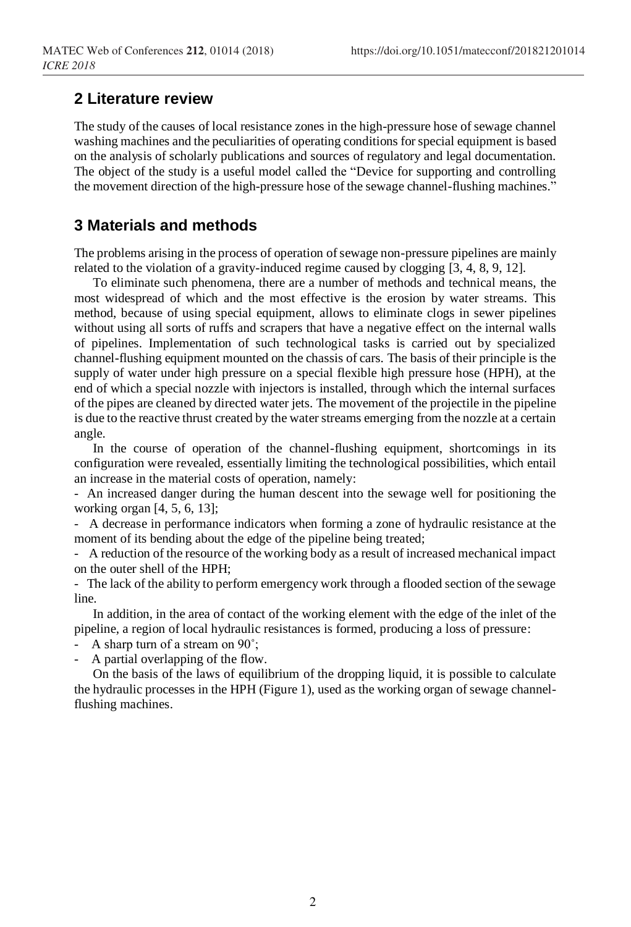#### **2 Literature review**

The study of the causes of local resistance zones in the high-pressure hose of sewage channel washing machines and the peculiarities of operating conditions for special equipment is based on the analysis of scholarly publications and sources of regulatory and legal documentation. The object of the study is a useful model called the "Device for supporting and controlling the movement direction of the high-pressure hose of the sewage channel-flushing machines."

## **3 Materials and methods**

The problems arising in the process of operation of sewage non-pressure pipelines are mainly related to the violation of a gravity-induced regime caused by clogging [3, 4, 8, 9, 12].

To eliminate such phenomena, there are a number of methods and technical means, the most widespread of which and the most effective is the erosion by water streams. This method, because of using special equipment, allows to eliminate clogs in sewer pipelines without using all sorts of ruffs and scrapers that have a negative effect on the internal walls of pipelines. Implementation of such technological tasks is carried out by specialized channel-flushing equipment mounted on the chassis of cars*.* The basis of their principle is the supply of water under high pressure on a special flexible high pressure hose (HPH), at the end of which a special nozzle with injectors is installed, through which the internal surfaces of the pipes are cleaned by directed water jets. The movement of the projectile in the pipeline is due to the reactive thrust created by the water streams emerging from the nozzle at a certain angle.

In the course of operation of the channel-flushing equipment, shortcomings in its configuration were revealed, essentially limiting the technological possibilities, which entail an increase in the material costs of operation, namely:

- An increased danger during the human descent into the sewage well for positioning the working organ [4, 5, 6, 13];

- A decrease in performance indicators when forming a zone of hydraulic resistance at the moment of its bending about the edge of the pipeline being treated;

- A reduction of the resource of the working body as a result of increased mechanical impact on the outer shell of the HPH;

- The lack of the ability to perform emergency work through a flooded section of the sewage line.

In addition, in the area of contact of the working element with the edge of the inlet of the pipeline, a region of local hydraulic resistances is formed, producing a loss of pressure:

A sharp turn of a stream on 90°;

A partial overlapping of the flow.

On the basis of the laws of equilibrium of the dropping liquid, it is possible to calculate the hydraulic processes in the HPH (Figure 1), used as the working organ of sewage channelflushing machines.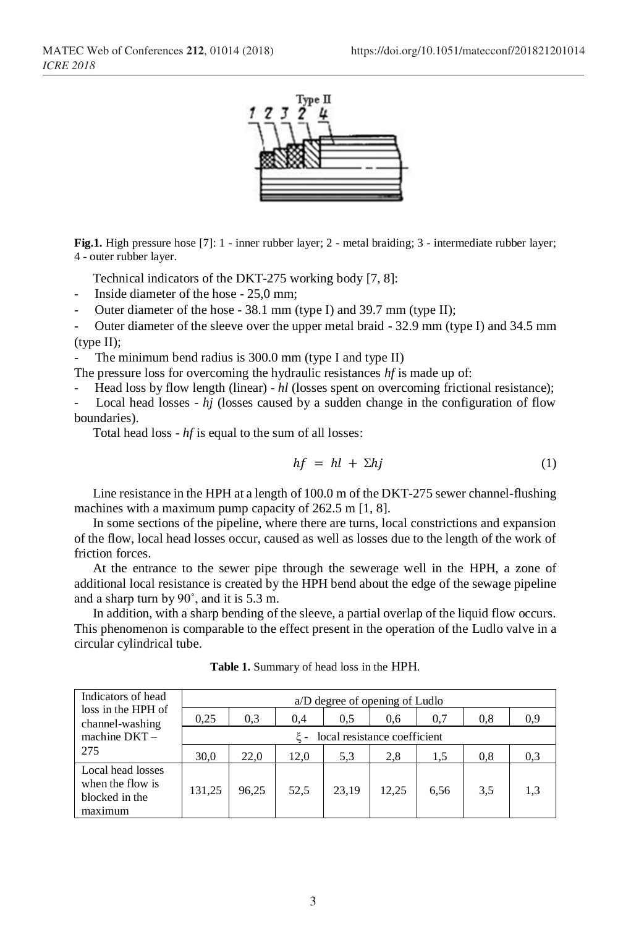

**Fig.1.** High pressure hose [7]: 1 - inner rubber layer; 2 - metal braiding; 3 - intermediate rubber layer; 4 - outer rubber layer.

Technical indicators of the DKT-275 working body [7, 8]:

Inside diameter of the hose - 25,0 mm;

Outer diameter of the hose - 38.1 mm (type I) and 39.7 mm (type II);

Outer diameter of the sleeve over the upper metal braid - 32.9 mm (type I) and 34.5 mm  $(type II);$ 

The minimum bend radius is  $300.0$  mm (type I and type II)

The pressure loss for overcoming the hydraulic resistances *hf* is made up of:

- Head loss by flow length (linear) - *hl* (losses spent on overcoming frictional resistance);

Local head losses - *hj* (losses caused by a sudden change in the configuration of flow boundaries).

Total head loss - *hf* is equal to the sum of all losses:

$$
hf = hl + \Sigma hj \tag{1}
$$

Line resistance in the HPH at a length of 100.0 m of the DKT-275 sewer channel-flushing machines with a maximum pump capacity of 262.5 m [1, 8].

In some sections of the pipeline, where there are turns, local constrictions and expansion of the flow, local head losses occur, caused as well as losses due to the length of the work of friction forces.

At the entrance to the sewer pipe through the sewerage well in the HPH, a zone of additional local resistance is created by the HPH bend about the edge of the sewage pipeline and a sharp turn by 90˚, and it is 5.3 m.

In addition, with a sharp bending of the sleeve, a partial overlap of the liquid flow occurs. This phenomenon is comparable to the effect present in the operation of the Ludlo valve in a circular cylindrical tube.

| Indicators of head<br>loss in the HPH of<br>channel-washing<br>machine $DKT -$<br>275 | a/D degree of opening of Ludlo |       |      |       |       |      |     |     |
|---------------------------------------------------------------------------------------|--------------------------------|-------|------|-------|-------|------|-----|-----|
|                                                                                       | 0.25                           | 0.3   | 0,4  | 0.5   | 0.6   | 0.7  | 0.8 | 0.9 |
|                                                                                       | local resistance coefficient   |       |      |       |       |      |     |     |
|                                                                                       | 30,0                           | 22,0  | 12,0 | 5,3   | 2,8   | 1.5  | 0.8 | 0.3 |
| Local head losses<br>when the flow is<br>blocked in the<br>maximum                    | 131,25                         | 96,25 | 52,5 | 23.19 | 12.25 | 6,56 | 3.5 | 1.3 |

**Table 1.** Summary of head loss in the HPH.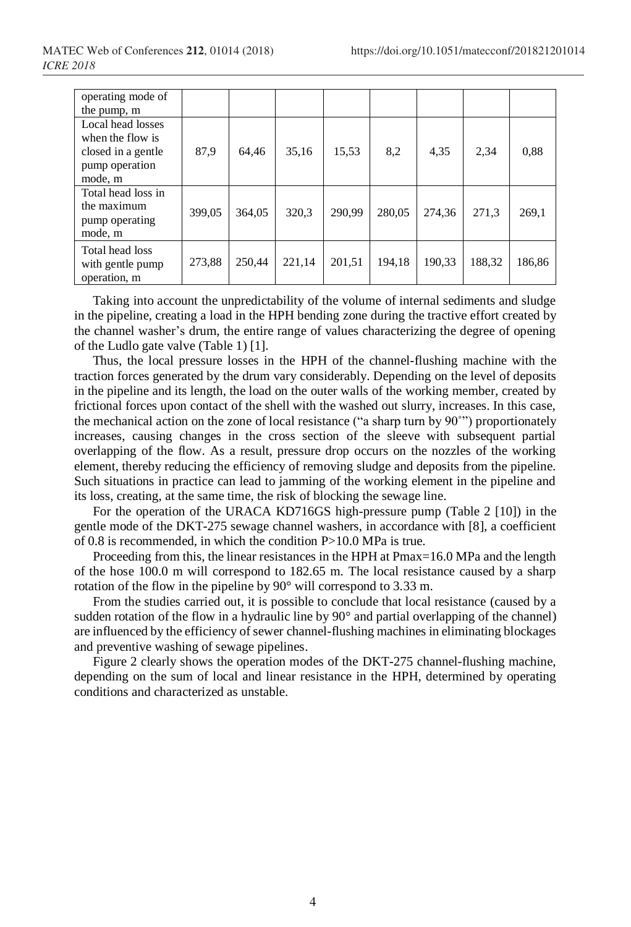| operating mode of<br>the pump, m                                              |        |        |        |        |        |        |        |        |
|-------------------------------------------------------------------------------|--------|--------|--------|--------|--------|--------|--------|--------|
| Local head losses<br>when the flow is<br>closed in a gentle<br>pump operation | 87,9   | 64.46  | 35,16  | 15,53  | 8,2    | 4,35   | 2.34   | 0,88   |
| mode, m                                                                       |        |        |        |        |        |        |        |        |
| Total head loss in<br>the maximum<br>pump operating<br>mode, m                | 399.05 | 364.05 | 320,3  | 290.99 | 280,05 | 274.36 | 271.3  | 269,1  |
| Total head loss<br>with gentle pump<br>operation, m                           | 273,88 | 250,44 | 221,14 | 201,51 | 194,18 | 190,33 | 188,32 | 186,86 |

Taking into account the unpredictability of the volume of internal sediments and sludge in the pipeline, creating a load in the HPH bending zone during the tractive effort created by the channel washer's drum, the entire range of values characterizing the degree of opening of the Ludlo gate valve (Table 1) [1].

Thus, the local pressure losses in the HPH of the channel-flushing machine with the traction forces generated by the drum vary considerably. Depending on the level of deposits in the pipeline and its length, the load on the outer walls of the working member, created by frictional forces upon contact of the shell with the washed out slurry, increases. In this case, the mechanical action on the zone of local resistance ("a sharp turn by 90˚") proportionately increases, causing changes in the cross section of the sleeve with subsequent partial overlapping of the flow. As a result, pressure drop occurs on the nozzles of the working element, thereby reducing the efficiency of removing sludge and deposits from the pipeline. Such situations in practice can lead to jamming of the working element in the pipeline and its loss, creating, at the same time, the risk of blocking the sewage line.

For the operation of the URACA KD716GS high-pressure pump (Table 2 [10]) in the gentle mode of the DKT-275 sewage channel washers, in accordance with [8], a coefficient of 0.8 is recommended, in which the condition P>10.0 MPa is true.

Proceeding from this, the linear resistances in the HPH at Pmax=16.0 MPa and the length of the hose 100.0 m will correspond to 182.65 m. The local resistance caused by a sharp rotation of the flow in the pipeline by 90° will correspond to 3.33 m.

From the studies carried out, it is possible to conclude that local resistance (caused by a sudden rotation of the flow in a hydraulic line by 90° and partial overlapping of the channel) are influenced by the efficiency of sewer channel-flushing machines in eliminating blockages and preventive washing of sewage pipelines.

Figure 2 clearly shows the operation modes of the DKT-275 channel-flushing machine, depending on the sum of local and linear resistance in the HPH, determined by operating conditions and characterized as unstable.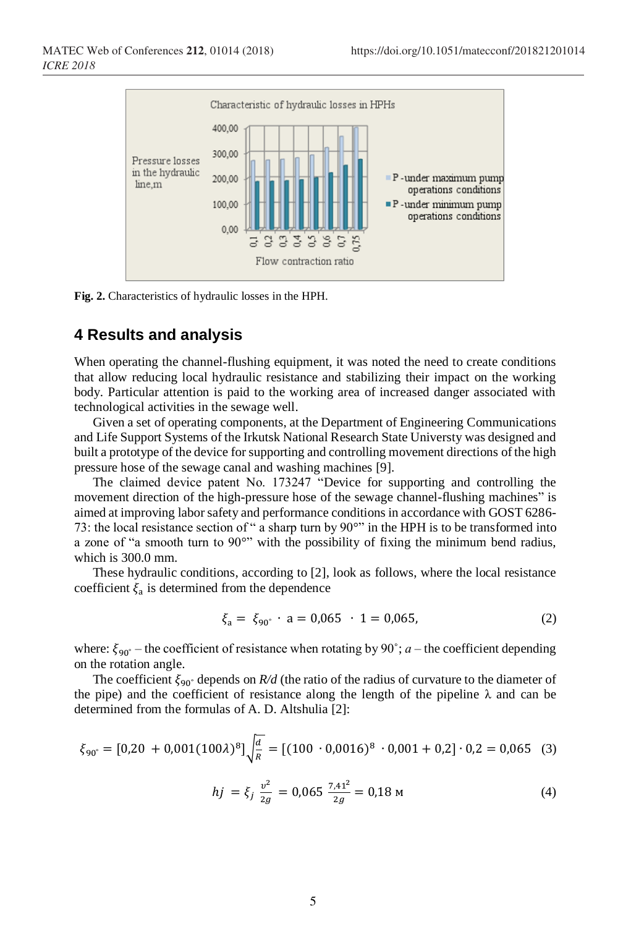

**Fig. 2.** Characteristics of hydraulic losses in the HPH.

#### **4 Results and analysis**

When operating the channel-flushing equipment, it was noted the need to create conditions that allow reducing local hydraulic resistance and stabilizing their impact on the working body. Particular attention is paid to the working area of increased danger associated with technological activities in the sewage well.

Given a set of operating components, at the Department of Engineering Communications and Life Support Systems of the Irkutsk National Research State Universty was designed and built a prototype of the device for supporting and controlling movement directions of the high pressure hose of the sewage canal and washing machines [9].

The claimed device patent No. 173247 "Device for supporting and controlling the movement direction of the high-pressure hose of the sewage channel-flushing machines" is aimed at improving labor safety and performance conditions in accordance with GOST 6286- 73: the local resistance section of " a sharp turn by 90°" in the HPH is to be transformed into a zone of "a smooth turn to 90°" with the possibility of fixing the minimum bend radius, which is 300.0 mm.

These hydraulic conditions, according to [2], look as follows, where the local resistance coefficient  $\xi_a$  is determined from the dependence

$$
\xi_a = \xi_{90^\circ} \cdot a = 0.065 \cdot 1 = 0.065,\tag{2}
$$

where:  $\xi_{90^\circ}$  – the coefficient of resistance when rotating by 90°; *a* – the coefficient depending on the rotation angle.

The coefficient  $\xi_{90}$ <sup>°</sup> depends on *R/d* (the ratio of the radius of curvature to the diameter of the pipe) and the coefficient of resistance along the length of the pipeline  $\lambda$  and can be determined from the formulas of A. D. Altshulia [2]:

$$
\xi_{90^\circ} = [0,20 + 0,001(100\lambda)^8] \sqrt{\frac{d}{R}} = [(100 \cdot 0,0016)^8 \cdot 0,001 + 0,2] \cdot 0,2 = 0,065 \quad (3)
$$

$$
hj = \xi_j \frac{v^2}{2g} = 0,065 \frac{7,41^2}{2g} = 0,18 \text{ m}
$$
 (4)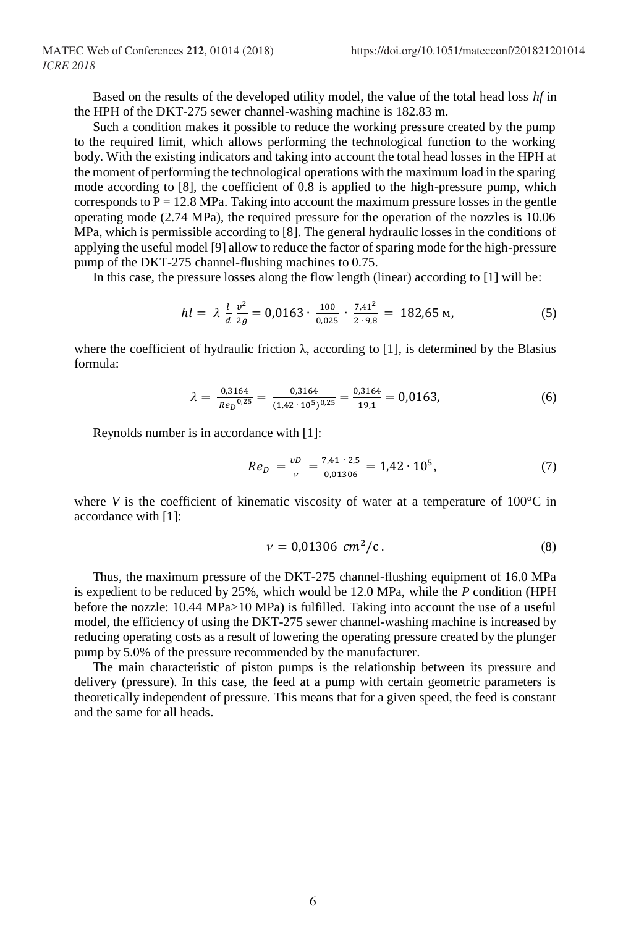Based on the results of the developed utility model, the value of the total head loss *hf* in the HPH of the DKT-275 sewer channel-washing machine is 182.83 m.

Such a condition makes it possible to reduce the working pressure created by the pump to the required limit, which allows performing the technological function to the working body. With the existing indicators and taking into account the total head losses in the HPH at the moment of performing the technological operations with the maximum load in the sparing mode according to [8], the coefficient of 0.8 is applied to the high-pressure pump, which corresponds to  $P = 12.8$  MPa. Taking into account the maximum pressure losses in the gentle operating mode (2.74 MPa), the required pressure for the operation of the nozzles is 10.06 MPa, which is permissible according to [8]. The general hydraulic losses in the conditions of applying the useful model [9] allow to reduce the factor of sparing mode for the high-pressure pump of the DKT-275 channel-flushing machines to 0.75.

In this case, the pressure losses along the flow length (linear) according to [1] will be:

$$
hl = \lambda \frac{l}{d} \frac{v^2}{2g} = 0.0163 \cdot \frac{100}{0.025} \cdot \frac{7.41^2}{2 \cdot 9.8} = 182.65 \text{ M},\tag{5}
$$

where the coefficient of hydraulic friction  $\lambda$ , according to [1], is determined by the Blasius formula:

$$
\lambda = \frac{0.3164}{Re_D^{0.25}} = \frac{0.3164}{(1.42 \cdot 10^5)^{0.25}} = \frac{0.3164}{19.1} = 0.0163,\tag{6}
$$

Reynolds number is in accordance with [1]:

$$
Re_D = \frac{vD}{v} = \frac{7.41 \cdot 2.5}{0.01306} = 1.42 \cdot 10^5, \tag{7}
$$

where *V* is the coefficient of kinematic viscosity of water at a temperature of  $100^{\circ}$ C in accordance with [1]:

$$
v = 0.01306 \, \, \text{cm}^2/\text{c} \,. \tag{8}
$$

Thus, the maximum pressure of the DKT-275 channel-flushing equipment of 16.0 MPa is expedient to be reduced by 25%, which would be 12.0 MPa, while the *P* condition (HPH before the nozzle: 10.44 MPa>10 MPa) is fulfilled. Taking into account the use of a useful model, the efficiency of using the DKT-275 sewer channel-washing machine is increased by reducing operating costs as a result of lowering the operating pressure created by the plunger pump by 5.0% of the pressure recommended by the manufacturer.

The main characteristic of piston pumps is the relationship between its pressure and delivery (pressure). In this case, the feed at a pump with certain geometric parameters is theoretically independent of pressure. This means that for a given speed, the feed is constant and the same for all heads.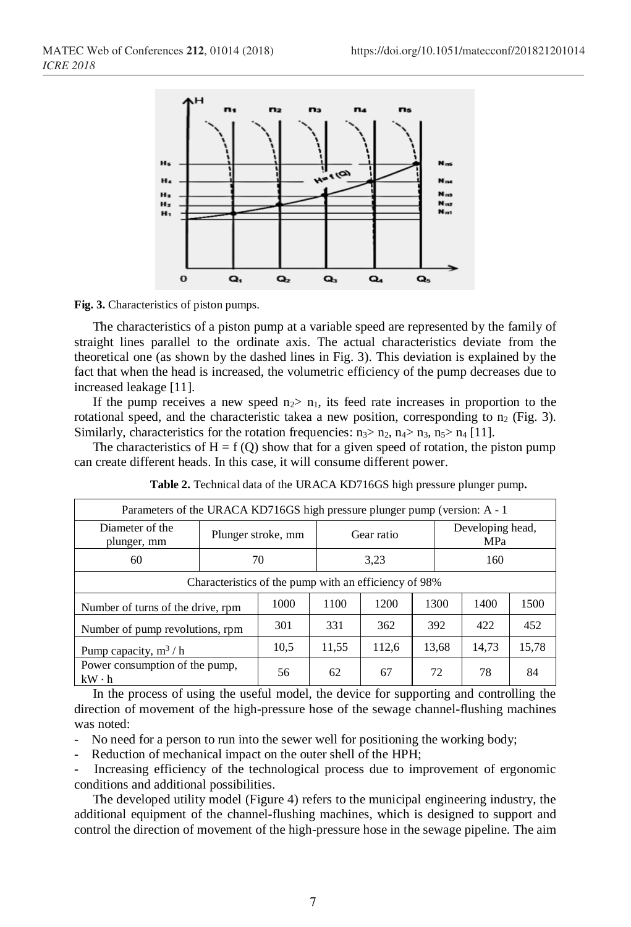

**Fig. 3.** Characteristics of piston pumps.

The characteristics of a piston pump at a variable speed are represented by the family of straight lines parallel to the ordinate axis. The actual characteristics deviate from the theoretical one (as shown by the dashed lines in Fig. 3). This deviation is explained by the fact that when the head is increased, the volumetric efficiency of the pump decreases due to increased leakage [11].

If the pump receives a new speed  $n_2$  is feed rate increases in proportion to the rotational speed, and the characteristic takea a new position, corresponding to  $n_2$  (Fig. 3). Similarly, characteristics for the rotation frequencies:  $n_3$   $\ge$   $n_2$ ,  $n_4$   $\ge$   $n_3$ ,  $n_5$   $\ge$   $n_4$  [11].

The characteristics of  $H = f(Q)$  show that for a given speed of rotation, the piston pump can create different heads. In this case, it will consume different power.

| Parameters of the URACA KD716GS high pressure plunger pump (version: A - 1) |      |                    |       |            |       |                         |    |  |  |
|-----------------------------------------------------------------------------|------|--------------------|-------|------------|-------|-------------------------|----|--|--|
| Diameter of the<br>plunger, mm                                              |      | Plunger stroke, mm |       | Gear ratio |       | Developing head,<br>MPa |    |  |  |
| 60                                                                          |      | 70                 |       | 3.23       |       | 160                     |    |  |  |
| Characteristics of the pump with an efficiency of 98%                       |      |                    |       |            |       |                         |    |  |  |
| Number of turns of the drive, rpm                                           | 1000 | 1100               | 1200  | 1300       | 1400  | 1500                    |    |  |  |
| Number of pump revolutions, rpm                                             | 301  | 331                | 362   | 392        | 422   | 452                     |    |  |  |
| Pump capacity, $m^3/h$                                                      | 10.5 | 11,55              | 112,6 | 13,68      | 14,73 | 15,78                   |    |  |  |
| Power consumption of the pump,<br>$kW \cdot h$                              |      | 56                 | 62    | 67         | 72    | 78                      | 84 |  |  |

**Table 2.** Technical data of the URACA KD716GS high pressure plunger pump**.**

In the process of using the useful model, the device for supporting and controlling the direction of movement of the high-pressure hose of the sewage channel-flushing machines was noted:

- No need for a person to run into the sewer well for positioning the working body;

Reduction of mechanical impact on the outer shell of the HPH;

- Increasing efficiency of the technological process due to improvement of ergonomic conditions and additional possibilities.

The developed utility model (Figure 4) refers to the municipal engineering industry, the additional equipment of the channel-flushing machines, which is designed to support and control the direction of movement of the high-pressure hose in the sewage pipeline. The aim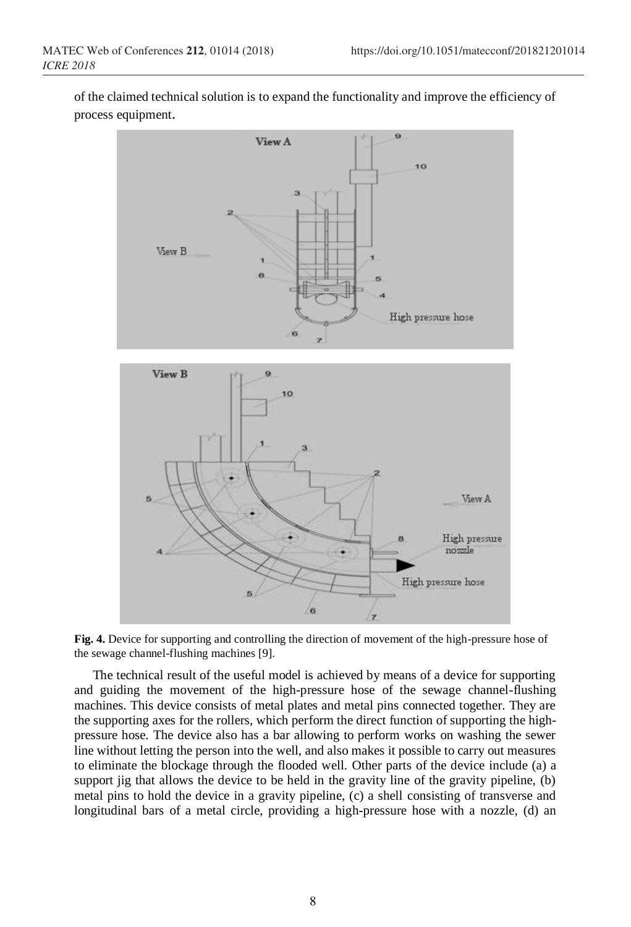of the claimed technical solution is to expand the functionality and improve the efficiency of process equipment.



**Fig. 4.** Device for supporting and controlling the direction of movement of the high-pressure hose of the sewage channel-flushing machines [9].

The technical result of the useful model is achieved by means of a device for supporting and guiding the movement of the high-pressure hose of the sewage channel-flushing machines. This device consists of metal plates and metal pins connected together. They are the supporting axes for the rollers, which perform the direct function of supporting the highpressure hose. The device also has a bar allowing to perform works on washing the sewer line without letting the person into the well, and also makes it possible to carry out measures to eliminate the blockage through the flooded well. Other parts of the device include (a) a support jig that allows the device to be held in the gravity line of the gravity pipeline, (b) metal pins to hold the device in a gravity pipeline, (c) a shell consisting of transverse and longitudinal bars of a metal circle, providing a high-pressure hose with a nozzle, (d) an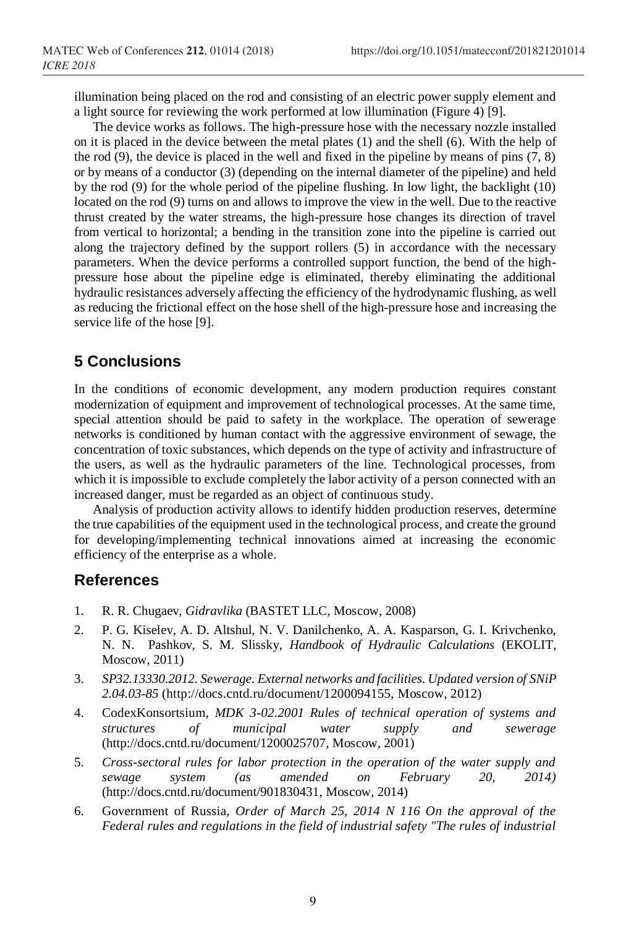illumination being placed on the rod and consisting of an electric power supply element and a light source for reviewing the work performed at low illumination (Figure 4) [9].

The device works as follows. The high-pressure hose with the necessary nozzle installed on it is placed in the device between the metal plates (1) and the shell (6). With the help of the rod  $(9)$ , the device is placed in the well and fixed in the pipeline by means of pins  $(7, 8)$ or by means of a conductor (3) (depending on the internal diameter of the pipeline) and held by the rod (9) for the whole period of the pipeline flushing. In low light, the backlight (10) located on the rod (9) turns on and allows to improve the view in the well. Due to the reactive thrust created by the water streams, the high-pressure hose changes its direction of travel from vertical to horizontal; a bending in the transition zone into the pipeline is carried out along the trajectory defined by the support rollers (5) in accordance with the necessary parameters. When the device performs a controlled support function, the bend of the highpressure hose about the pipeline edge is eliminated, thereby eliminating the additional hydraulic resistances adversely affecting the efficiency of the hydrodynamic flushing, as well as reducing the frictional effect on the hose shell of the high-pressure hose and increasing the service life of the hose [9].

## **5 Conclusions**

In the conditions of economic development, any modern production requires constant modernization of equipment and improvement of technological processes. At the same time, special attention should be paid to safety in the workplace. The operation of sewerage networks is conditioned by human contact with the aggressive environment of sewage, the concentration of toxic substances, which depends on the type of activity and infrastructure of the users, as well as the hydraulic parameters of the line. Technological processes, from which it is impossible to exclude completely the labor activity of a person connected with an increased danger, must be regarded as an object of continuous study.

Analysis of production activity allows to identify hidden production reserves, determine the true capabilities of the equipment used in the technological process, and create the ground for developing/implementing technical innovations aimed at increasing the economic efficiency of the enterprise as a whole.

#### **References**

- 1. R. R. Chugaev, *Gidravlika* (BASTET LLC, Moscow, 2008)
- 2. P. G. Kiselev, A. D. Altshul, N. V. Danilchenko, A. A. Kasparson, G. I. Krivchenko, N. N. Pashkov, S. M. Slissky, *Handbook of Hydraulic Calculations* (EKOLIT, Moscow, 2011)
- 3. *SP32.13330.2012. Sewerage. External networks and facilities. Updated version of SNiP 2.04.03-85* (http://docs.cntd.ru/document/1200094155, Moscow, 2012)
- 4. CodexKonsortsium, *MDK 3-02.2001 Rules of technical operation of systems and structures of municipal water supply and sewerage* (http://docs.cntd.ru/document/1200025707, Moscow, 2001)
- 5. *Cross-sectoral rules for labor protection in the operation of the water supply and sewage system (as amended on February 20, 2014)* (http://docs.cntd.ru/document/901830431, Moscow, 2014)
- 6. Government of Russia, *Order of March 25, 2014 N 116 On the approval of the Federal rules and regulations in the field of industrial safety "The rules of industrial*